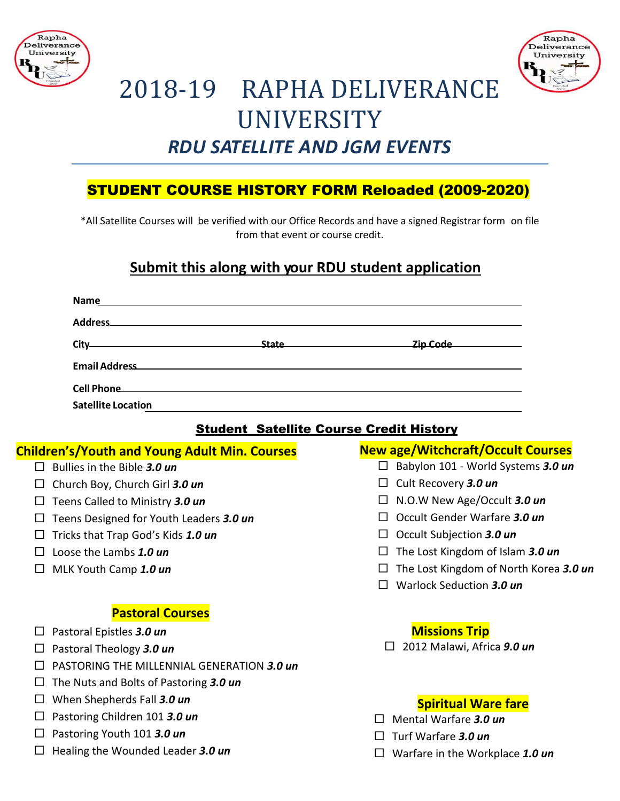



# 2018-19 RAPHA DELIVERANCE **UNIVERSITY** *RDU SATELLITE AND JGM EVENTS*

# STUDENT COURSE HISTORY FORM Reloaded (2009-2020)

\*All Satellite Courses will be verified with our Office Records and have a signed Registrar form on file from that event or course credit.

# **Submit this along with your RDU student application**

|                                                | Name<br><u> 1989 - Johann Stoff, amerikansk politiker (d. 1989)</u>                                                                                                                                                                           |  |              |                                                                                                                  |
|------------------------------------------------|-----------------------------------------------------------------------------------------------------------------------------------------------------------------------------------------------------------------------------------------------|--|--------------|------------------------------------------------------------------------------------------------------------------|
|                                                | Address and the contract of the contract of the contract of the contract of the contract of the contract of the contract of the contract of the contract of the contract of the contract of the contract of the contract of th                |  |              |                                                                                                                  |
|                                                | <u>State and State and State and State and State and State and State and State and State and State and State and State and State and State and State and State and State and State and State and State and State and State and S</u><br>City- |  |              |                                                                                                                  |
|                                                | Email Address <b>Email Address Email Address Email Address Email Address</b>                                                                                                                                                                  |  |              |                                                                                                                  |
|                                                | <u> 1989 - Johann Stein, marwolaethau a bhann an t-Amhain an t-Amhain an t-Amhain an t-Amhain an t-Amhain an t-A</u><br><b>Cell Phone</b>                                                                                                     |  |              |                                                                                                                  |
|                                                | <b>Satellite Location</b>                                                                                                                                                                                                                     |  |              | and the control of the control of the control of the control of the control of the control of the control of the |
| <b>Student Satellite Course Credit History</b> |                                                                                                                                                                                                                                               |  |              |                                                                                                                  |
|                                                | <b>Children's/Youth and Young Adult Min. Courses</b>                                                                                                                                                                                          |  |              | <b>New age/Witchcraft/Occult Courses</b>                                                                         |
| $\Box$                                         | Bullies in the Bible 3.0 un                                                                                                                                                                                                                   |  |              | $\Box$ Babylon 101 - World Systems 3.0 un                                                                        |
| $\Box$                                         | Church Boy, Church Girl 3.0 un                                                                                                                                                                                                                |  |              | $\Box$ Cult Recovery 3.0 un                                                                                      |
| $\Box$                                         | Teens Called to Ministry 3.0 un                                                                                                                                                                                                               |  |              | $\Box$ N.O.W New Age/Occult 3.0 un                                                                               |
| $\Box$                                         | Teens Designed for Youth Leaders 3.0 un                                                                                                                                                                                                       |  | $\mathsf{L}$ | Occult Gender Warfare 3.0 un                                                                                     |
| $\Box$                                         | Tricks that Trap God's Kids 1.0 un                                                                                                                                                                                                            |  | ப            | Occult Subjection 3.0 un                                                                                         |
| $\Box$                                         | Loose the Lambs 1.0 un                                                                                                                                                                                                                        |  | ப            | The Lost Kingdom of Islam 3.0 un                                                                                 |
| $\Box$                                         | MLK Youth Camp 1.0 un                                                                                                                                                                                                                         |  | $\Box$       | The Lost Kingdom of North Korea 3.0 un                                                                           |
|                                                |                                                                                                                                                                                                                                               |  | П            | Warlock Seduction 3.0 un                                                                                         |
| <b>Pastoral Courses</b>                        |                                                                                                                                                                                                                                               |  |              |                                                                                                                  |
| $\Box$                                         | Pastoral Epistles 3.0 un                                                                                                                                                                                                                      |  |              | <b>Missions Trip</b>                                                                                             |
| ப                                              | Pastoral Theology 3.0 un                                                                                                                                                                                                                      |  |              | 2012 Malawi, Africa 9.0 un                                                                                       |
|                                                | PASTORING THE MILLENNIAL GENERATION 3.0 un                                                                                                                                                                                                    |  |              |                                                                                                                  |
| $\Box$                                         | The Nuts and Bolts of Pastoring 3.0 un                                                                                                                                                                                                        |  |              |                                                                                                                  |
| ப                                              | When Shepherds Fall 3.0 un                                                                                                                                                                                                                    |  |              | <b>Spiritual Ware fare</b>                                                                                       |
| ப                                              | Pastoring Children 101 3.0 un                                                                                                                                                                                                                 |  | $\perp$      | Mental Warfare 3.0 un                                                                                            |
| $\Box$                                         | Pastoring Youth 101 3.0 un                                                                                                                                                                                                                    |  |              | Turf Warfare 3.0 un                                                                                              |
| □                                              | Healing the Wounded Leader 3.0 un                                                                                                                                                                                                             |  |              | $\Box$ Warfare in the Workplace 1.0 un                                                                           |
|                                                |                                                                                                                                                                                                                                               |  |              |                                                                                                                  |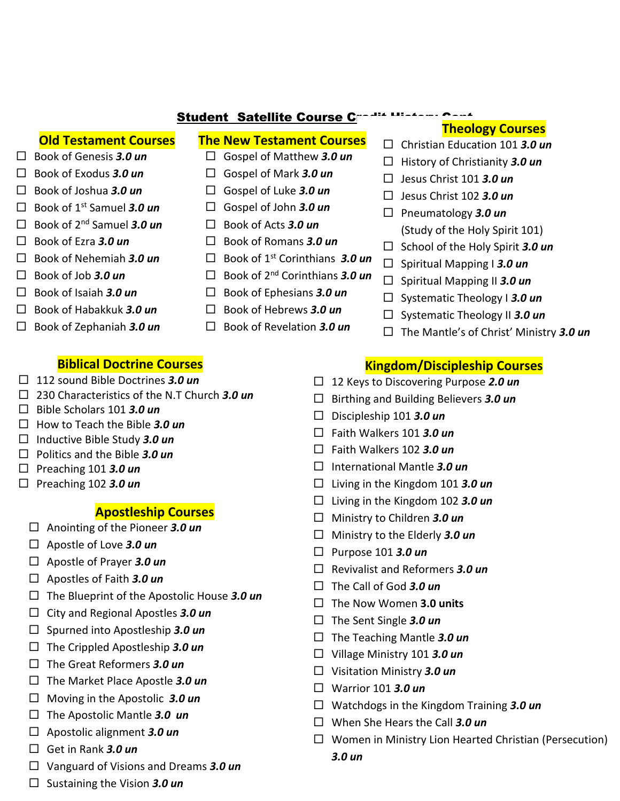### **Student Satellite Course C**

#### **Old Testament Courses**

 $\Box$  Book of Genesis 3.0 un

 $\Box$  Book of Exodus 3.0 un

 $\Box$  Book of Joshua 3.0 un

 $\Box$  Book of Ezra 3.0 un

 $\Box$  Book of Job 3.0 un

 $\Box$  Book of Isaiah 3.0 un

 $\Box$  Book of 1<sup>st</sup> Samuel 3.0 un

 $\Box$  Book of 2<sup>nd</sup> Samuel 3.0 un

 $\Box$  Book of Nehemiah 3.0 un

 $\Box$  Book of Habakkuk 3.0 un

 $\Box$  Book of Zephaniah 3.0 un

# **The New Testament Courses**

- $\Box$  Gospel of Matthew 3.0 un
- $\Box$  Gospel of Mark 3.0 un
- $\Box$  Gospel of Luke 3.0 un
- $\Box$  Gospel of John 3.0 un
- $\Box$  Book of Acts 3.0 un
- $\Box$  Book of Romans 3.0 un
- $\Box$  Book of 1<sup>st</sup> Corinthians 3.0 un
- $\Box$  Book of 2<sup>nd</sup> Corinthians 3.0 un
- $\Box$  Book of Ephesians 3.0 un
- $\Box$  Book of Hebrews 3.0 un
- $\Box$  Book of Revelation 3.0 un

# **Theology Courses**

- $\Box$  Christian Education 101 3.0 un
- $\Box$  History of Christianity 3.0 un
- $\Box$  Jesus Christ 101 3.0 un
- $\Box$  Jesus Christ 102 3.0 un
- $\Box$  Pneumatology 3.0 un (Study of the Holy Spirit 101)
- $\Box$  School of the Holy Spirit 3.0 un
- $\Box$  Spiritual Mapping I 3.0 un
- $\Box$  Spiritual Mapping II 3.0 un
- $\Box$  Systematic Theology **1 3.0 un**
- $\Box$  Systematic Theology II 3.0 un
- $\Box$  The Mantle's of Christ' Ministry 3.0 un

# **Biblical Doctrine Courses**

 $\Box$  112 sound Bible Doctrines 3.0 un

#### $\Box$  230 Characteristics of the N.T Church 3.0 un

- $\Box$  Bible Scholars 101 3.0 un
- $\Box$  How to Teach the Bible 3.0 un
- $\Box$  Inductive Bible Study 3.0 un
- $\Box$  Politics and the Bible 3.0 un
- $\Box$  Preaching 101 3.0 un
- $\Box$  Preaching 102 3.0 un

# **Apostleship Courses**

- $\Box$  Anointing of the Pioneer 3.0 un
- $\Box$  Apostle of Love 3.0 un
- $\Box$  Apostle of Prayer 3.0 un
- $\Box$  Apostles of Faith 3.0 un
- $\Box$  The Blueprint of the Apostolic House 3.0 un
- $\Box$  City and Regional Apostles 3.0 un
- $\Box$  Spurned into Apostleship 3.0 un
- $\Box$  The Crippled Apostleship 3.0 un
- $\Box$  The Great Reformers 3.0 un
- $\Box$  The Market Place Apostle 3.0 un
- $\Box$  Moving in the Apostolic 3.0 un
- $\Box$  The Apostolic Mantle 3.0 un
- $\Box$  Apostolic alignment 3.0 un
- $\Box$  Get in Rank 3.0 un
- $\Box$  Vanguard of Visions and Dreams 3.0 un
- $\Box$  Sustaining the Vision 3.0 un

# **Kingdom/Discipleship Courses**

- $\Box$  12 Keys to Discovering Purpose 2.0 un
- $\Box$  Birthing and Building Believers 3.0 un
- $\Box$  Discipleship 101 3.0 un
- $\Box$  Faith Walkers 101 3.0 un
- $\Box$  Faith Walkers 102 3.0 un
- $\Box$  International Mantle 3.0 un
- $\Box$  Living in the Kingdom 101 3.0 un
- $\Box$  Living in the Kingdom 102 3.0 un
- $\Box$  Ministry to Children 3.0 un
- $\Box$  Ministry to the Elderly 3.0 un
- $\Box$  Purpose 101 3.0 un
- $\Box$  Revivalist and Reformers 3.0 un
- $\Box$  The Call of God 3.0 un
- $\Box$  The Now Women 3.0 units
- $\Box$  The Sent Single 3.0 un
- $\Box$  The Teaching Mantle 3.0 un
- $\Box$  Village Ministry 101 3.0 un
- $\Box$  Visitation Ministry 3.0 un
- $\Box$  Warrior 101 3.0 un
- $\Box$  Watchdogs in the Kingdom Training 3.0 un
- $\Box$  When She Hears the Call 3.0 un
- $\Box$  Women in Ministry Lion Hearted Christian (Persecution)
	- $3.0<sub>un</sub>$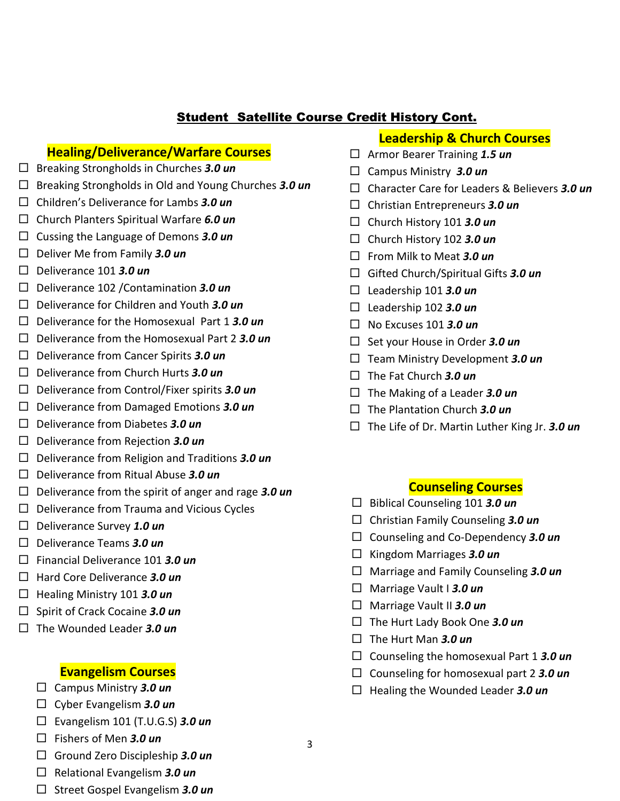# **Student Satellite Course Credit History Cont.**

#### **Healing/Deliverance/Warfare Courses**

- $\Box$  Breaking Strongholds in Churches 3.0 un
- $\Box$  Breaking Strongholds in Old and Young Churches 3.0 un
- $\Box$  Children's Deliverance for Lambs 3.0 un
- $\Box$  Church Planters Spiritual Warfare 6.0 un
- $\Box$  Cussing the Language of Demons 3.0 un
- $\Box$  Deliver Me from Family 3.0 un
- $\Box$  Deliverance 101 3.0 un
- $\Box$  Deliverance 102 / Contamination 3.0 un
- $\Box$  Deliverance for Children and Youth 3.0 un
- $\Box$  Deliverance for the Homosexual Part 1 3.0 un
- $\Box$  Deliverance from the Homosexual Part 2 3.0 un
- $\Box$  Deliverance from Cancer Spirits 3.0 un
- $\Box$  Deliverance from Church Hurts 3.0 un
- $\Box$  Deliverance from Control/Fixer spirits 3.0 un
- $\Box$  Deliverance from Damaged Emotions 3.0 un
- $\Box$  Deliverance from Diabetes 3.0 un
- $\Box$  Deliverance from Rejection 3.0 un
- $\Box$  Deliverance from Religion and Traditions 3.0 un
- $\Box$  Deliverance from Ritual Abuse 3.0 un
- $\Box$  Deliverance from the spirit of anger and rage 3.0 un
- $\Box$  Deliverance from Trauma and Vicious Cycles
- $\Box$  Deliverance Survey 1.0 un
- $\Box$  Deliverance Teams 3.0 un
- $\Box$  Financial Deliverance 101 3.0 un
- $\Box$  Hard Core Deliverance 3.0 un
- $\Box$  Healing Ministry 101 3.0 un
- $\Box$  Spirit of Crack Cocaine 3.0 un
- $\Box$  The Wounded Leader 3.0 un

#### **Evangelism Courses**

- $\Box$  Campus Ministry 3.0 un
- $\Box$  Cyber Evangelism 3.0 un
- $\Box$  Evangelism 101 (T.U.G.S) 3.0 un
- $\Box$  Fishers of Men 3.0 un
- $\Box$  Ground Zero Discipleship 3.0 un
- $\Box$  Relational Evangelism 3.0 un
- $\Box$  Street Gospel Evangelism 3.0 un
- **Leadership & Church Courses**
- $\Box$  Armor Bearer Training 1.5 un
- $\Box$  Campus Ministry 3.0 un
- □ Character Care for Leaders & Believers 3.0 un
- $\Box$  Christian Entrepreneurs 3.0 un
- $\Box$  Church History 101 3.0 un
- $\Box$  Church History 102 3.0 un
- $\Box$  From Milk to Meat 3.0 un
- $\Box$  Gifted Church/Spiritual Gifts 3.0 un
- $\Box$  Leadership 101 3.0 un
- $\Box$  Leadership 102 3.0 un
- $\Box$  No Excuses 101 3.0 un
- $\Box$  Set your House in Order 3.0 un
- $\Box$  Team Ministry Development 3.0 un
- $\Box$  The Fat Church 3.0 un
- $\Box$  The Making of a Leader 3.0 un
- $\Box$  The Plantation Church 3.0 un
- $\Box$  The Life of Dr. Martin Luther King Jr. 3.0 un

#### **Counseling Courses**

- $\Box$  Biblical Counseling 101 3.0 un
- $\Box$  Christian Family Counseling 3.0 un
- $\Box$  Counseling and Co-Dependency 3.0 un
- $\Box$  Kingdom Marriages 3.0 un
- $\Box$  Marriage and Family Counseling 3.0 un
- $\Box$  Marriage Vault I 3.0 un
- $\Box$  Marriage Vault II 3.0 un
- $\Box$  The Hurt Lady Book One 3.0 un
- $\Box$  The Hurt Man 3.0 un
- $\Box$  Counseling the homosexual Part 1 3.0 un
- $\Box$  Counseling for homosexual part 2 3.0 un
- $\Box$  Healing the Wounded Leader 3.0 un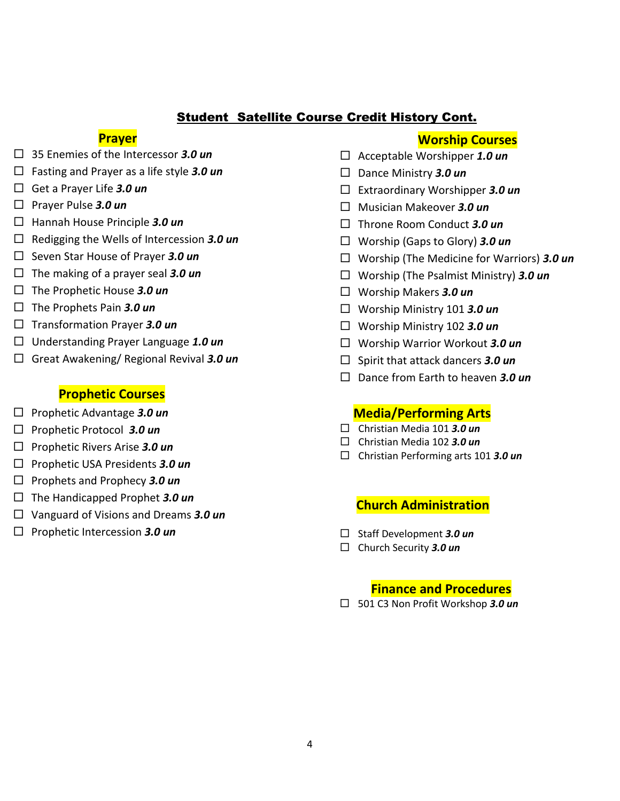## Student Satellite Course Credit History Cont.

#### **Prayer**

- 35 Enemies of the Intercessor *3.0 un*
- Fasting and Prayer as a life style *3.0 un*
- Get a Prayer Life *3.0 un*
- Prayer Pulse *3.0 un*
- Hannah House Principle *3.0 un*
- Redigging the Wells of Intercession *3.0 un*
- Seven Star House of Prayer *3.0 un*
- $\Box$  The making of a prayer seal **3.0 un**
- The Prophetic House *3.0 un*
- The Prophets Pain *3.0 un*
- Transformation Prayer *3.0 un*
- Understanding Prayer Language *1.0 un*
- Great Awakening/ Regional Revival *3.0 un*

#### **Prophetic Courses**

- Prophetic Advantage *3.0 un*
- Prophetic Protocol *3.0 un*
- Prophetic Rivers Arise *3.0 un*
- Prophetic USA Presidents *3.0 un*
- Prophets and Prophecy *3.0 un*
- The Handicapped Prophet *3.0 un*
- Vanguard of Visions and Dreams *3.0 un*
- Prophetic Intercession *3.0 un*

#### **Worship Courses**

- Acceptable Worshipper *1.0 un*
- Dance Ministry *3.0 un*
- Extraordinary Worshipper *3.0 un*
- Musician Makeover *3.0 un*
- Throne Room Conduct *3.0 un*
- Worship (Gaps to Glory) *3.0 un*
- Worship (The Medicine for Warriors) *3.0 un*
- Worship (The Psalmist Ministry) *3.0 un*
- Worship Makers *3.0 un*
- Worship Ministry 101 *3.0 un*
- Worship Ministry 102 *3.0 un*
- Worship Warrior Workout *3.0 un*
- □ Spirit that attack dancers **3.0 un**
- Dance from Earth to heaven *3.0 un*

#### **Media/Performing Arts**

- Christian Media 101 *3.0 un*
- Christian Media 102 *3.0 un*
- Christian Performing arts 101 *3.0 un*

#### **Church Administration**

- Staff Development *3.0 un*
- Church Security *3.0 un*

#### **Finance and Procedures**

501 C3 Non Profit Workshop *3.0 un*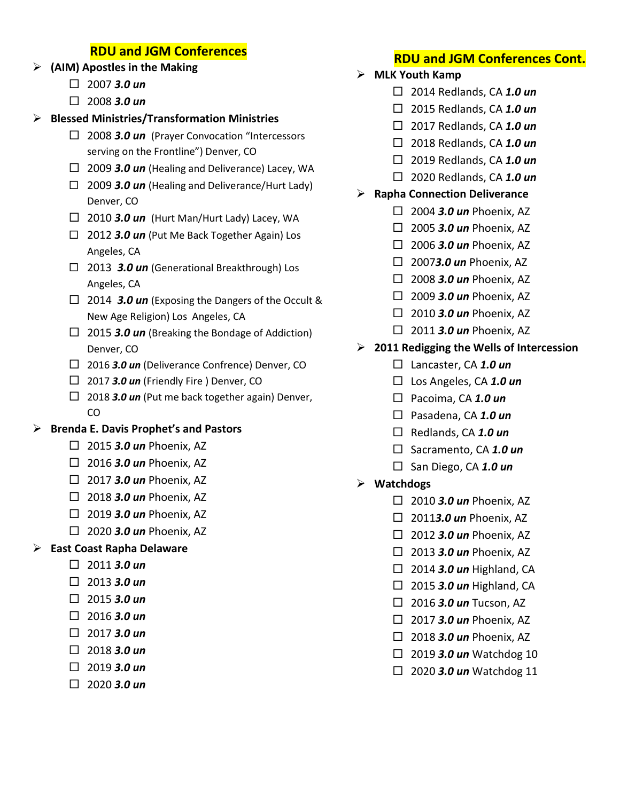# **RDU and JGM Conferences**

- **(AIM) Apostles in the Making**
	- $\Box$  2007 **3.0 un**
	- 2008 *3.0 un*

## **Blessed Ministries/Transformation Ministries**

- □ 2008 **3.0 un** (Prayer Convocation "Intercessors serving on the Frontline") Denver, CO
- 2009 *3.0 un* (Healing and Deliverance) Lacey, WA
- □ 2009 **3.0 un** (Healing and Deliverance/Hurt Lady) Denver, CO
- $\Box$  2010 *3.0 un* (Hurt Man/Hurt Lady) Lacey, WA
- 2012 *3.0 un* (Put Me Back Together Again) Los Angeles, CA
- 2013 *3.0 un* (Generational Breakthrough) Los Angeles, CA
- □ 2014 **3.0 un** (Exposing the Dangers of the Occult & New Age Religion) Los Angeles, CA
- □ 2015 *3.0 un* (Breaking the Bondage of Addiction) Denver, CO
- 2016 *3.0 un* (Deliverance Confrence) Denver, CO
- $\Box$  2017 **3.0 un** (Friendly Fire ) Denver, CO
- $\Box$  2018 **3.0 un** (Put me back together again) Denver, CO

# **Brenda E. Davis Prophet's and Pastors**

- $\Box$  2015 **3.0 un** Phoenix, AZ
- 2016 *3.0 un* Phoenix, AZ
- $\Box$  2017 **3.0 un** Phoenix, AZ
- 2018 *3.0 un* Phoenix, AZ
- 2019 *3.0 un* Phoenix, AZ
- 2020 *3.0 un* Phoenix, AZ

# **East Coast Rapha Delaware**

- $\Box$  2011 **3.0 un**
- $\Box$  2013 **3.0 un**
- $\Box$  2015 **3.0 un**
- $\Box$  2016 **3.0 un**
- $\Box$  2017 **3.0 un**
- $\Box$  2018 **3.0 un**
- $\Box$  2019 **3.0 un**
- 2020 *3.0 un*

# **RDU and JGM Conferences Cont.**

- **MLK Youth Kamp**
	- 2014 Redlands, CA *1.0 un*
	- 2015 Redlands, CA *1.0 un*
	- 2017 Redlands, CA *1.0 un*
	- 2018 Redlands, CA *1.0 un*
	- 2019 Redlands, CA *1.0 un*
	- 2020 Redlands, CA *1.0 un*

# **Rapha Connection Deliverance**

- 2004 *3.0 un* Phoenix, AZ
- 2005 *3.0 un* Phoenix, AZ
- 2006 *3.0 un* Phoenix, AZ
- 2007*3.0 un* Phoenix, AZ
- 2008 *3.0 un* Phoenix, AZ
- 2009 *3.0 un* Phoenix, AZ
- □ 2010 **3.0 un** Phoenix, AZ
- $\Box$  2011 **3.0 un** Phoenix, AZ

## **2011 Redigging the Wells of Intercession**

- Lancaster, CA *1.0 un*
- Los Angeles, CA *1.0 un*
- Pacoima, CA *1.0 un*
- Pasadena, CA *1.0 un*
- Redlands, CA *1.0 un*
- □ Sacramento, CA 1.0 un
- San Diego, CA *1.0 un*
- **Watchdogs**
	- 2010 *3.0 un* Phoenix, AZ
	- 2011*3.0 un* Phoenix, AZ
	- 2012 *3.0 un* Phoenix, AZ
	- $\Box$  2013 **3.0 un** Phoenix, AZ
	- □ 2014 **3.0 un** Highland, CA
	- □ 2015 **3.0 un** Highland, CA
	- □ 2016 **3.0 un** Tucson, AZ
	- □ 2017 **3.0 un** Phoenix, AZ
	- 2018 *3.0 un* Phoenix, AZ
	- $\Box$  2019 **3.0 un** Watchdog 10
	- $\Box$  2020 **3.0 un** Watchdog 11